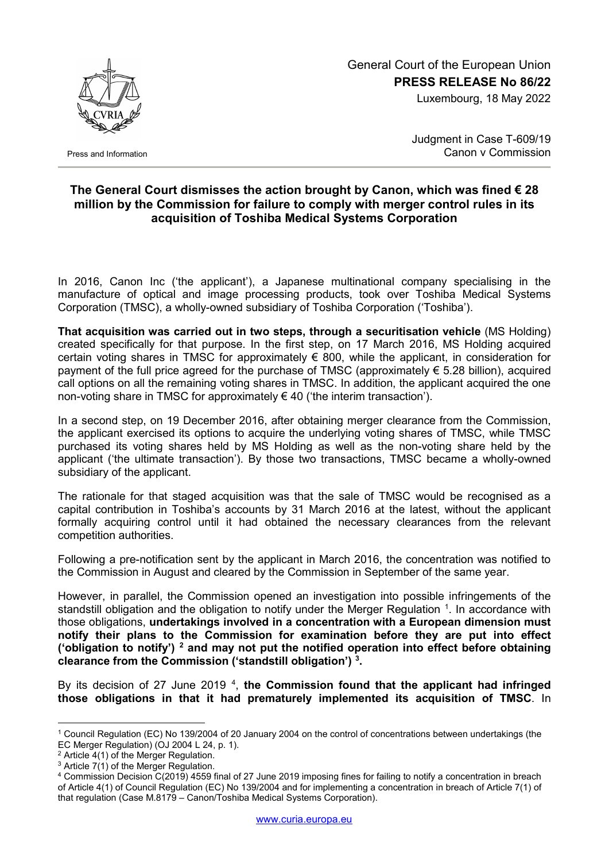

Press and Information

## General Court of the European Union **PRESS RELEASE No 86/22**

Luxembourg, 18 May 2022

Judgment in Case T-609/19 Canon v Commission

## **The General Court dismisses the action brought by Canon, which was fined € 28 million by the Commission for failure to comply with merger control rules in its acquisition of Toshiba Medical Systems Corporation**

In 2016, Canon Inc ('the applicant'), a Japanese multinational company specialising in the manufacture of optical and image processing products, took over Toshiba Medical Systems Corporation (TMSC), a wholly-owned subsidiary of Toshiba Corporation ('Toshiba').

**That acquisition was carried out in two steps, through a securitisation vehicle** (MS Holding) created specifically for that purpose. In the first step, on 17 March 2016, MS Holding acquired certain voting shares in TMSC for approximately € 800, while the applicant, in consideration for payment of the full price agreed for the purchase of TMSC (approximately  $\epsilon$  5.28 billion), acquired call options on all the remaining voting shares in TMSC. In addition, the applicant acquired the one non-voting share in TMSC for approximately € 40 ('the interim transaction').

In a second step, on 19 December 2016, after obtaining merger clearance from the Commission, the applicant exercised its options to acquire the underlying voting shares of TMSC, while TMSC purchased its voting shares held by MS Holding as well as the non-voting share held by the applicant ('the ultimate transaction'). By those two transactions, TMSC became a wholly-owned subsidiary of the applicant.

The rationale for that staged acquisition was that the sale of TMSC would be recognised as a capital contribution in Toshiba's accounts by 31 March 2016 at the latest, without the applicant formally acquiring control until it had obtained the necessary clearances from the relevant competition authorities.

Following a pre-notification sent by the applicant in March 2016, the concentration was notified to the Commission in August and cleared by the Commission in September of the same year.

However, in parallel, the Commission opened an investigation into possible infringements of the standstill obligation and the obligation to notify under the Merger Regulation  $1$ . In accordance with those obligations, **undertakings involved in a concentration with a European dimension must notify their plans to the Commission for examination before they are put into effect ('obligation to notify') [2](#page-0-1) and may not put the notified operation into effect before obtaining clearance from the Commission ('standstill obligation') [3](#page-0-2) .**

By its decision of 27 June 2019<sup>[4](#page-0-3)</sup>, the Commission found that the applicant had infringed **those obligations in that it had prematurely implemented its acquisition of TMSC**. In

<span id="page-0-0"></span><sup>-</sup><sup>1</sup> Council Regulation (EC) No 139/2004 of 20 January 2004 on the control of concentrations between undertakings (the EC Merger Regulation) (OJ 2004 L 24, p. 1).

<span id="page-0-1"></span><sup>2</sup> Article 4(1) of the Merger Regulation.

<span id="page-0-2"></span> $3$  Article 7(1) of the Merger Regulation.

<span id="page-0-3"></span><sup>4</sup> Commission Decision C(2019) 4559 final of 27 June 2019 imposing fines for failing to notify a concentration in breach of Article 4(1) of Council Regulation (EC) No 139/2004 and for implementing a concentration in breach of Article 7(1) of that regulation (Case M.8179 – Canon/Toshiba Medical Systems Corporation).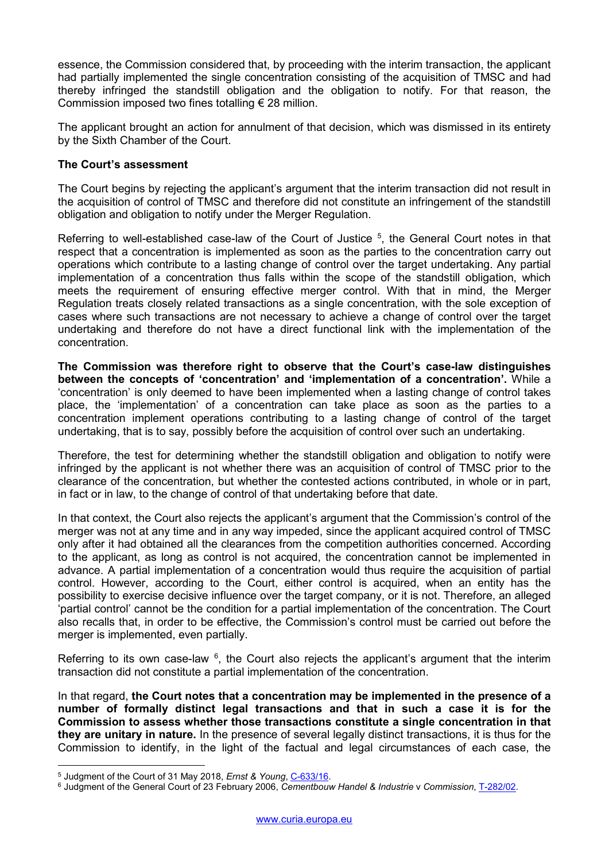essence, the Commission considered that, by proceeding with the interim transaction, the applicant had partially implemented the single concentration consisting of the acquisition of TMSC and had thereby infringed the standstill obligation and the obligation to notify. For that reason, the Commission imposed two fines totalling  $\epsilon$  28 million.

The applicant brought an action for annulment of that decision, which was dismissed in its entirety by the Sixth Chamber of the Court.

## **The Court's assessment**

The Court begins by rejecting the applicant's argument that the interim transaction did not result in the acquisition of control of TMSC and therefore did not constitute an infringement of the standstill obligation and obligation to notify under the Merger Regulation.

Referring to well-established case-law of the Court of Justice <sup>[5](#page-1-0)</sup>, the General Court notes in that respect that a concentration is implemented as soon as the parties to the concentration carry out operations which contribute to a lasting change of control over the target undertaking. Any partial implementation of a concentration thus falls within the scope of the standstill obligation, which meets the requirement of ensuring effective merger control. With that in mind, the Merger Regulation treats closely related transactions as a single concentration, with the sole exception of cases where such transactions are not necessary to achieve a change of control over the target undertaking and therefore do not have a direct functional link with the implementation of the concentration.

**The Commission was therefore right to observe that the Court's case-law distinguishes between the concepts of 'concentration' and 'implementation of a concentration'.** While a 'concentration' is only deemed to have been implemented when a lasting change of control takes place, the 'implementation' of a concentration can take place as soon as the parties to a concentration implement operations contributing to a lasting change of control of the target undertaking, that is to say, possibly before the acquisition of control over such an undertaking.

Therefore, the test for determining whether the standstill obligation and obligation to notify were infringed by the applicant is not whether there was an acquisition of control of TMSC prior to the clearance of the concentration, but whether the contested actions contributed, in whole or in part, in fact or in law, to the change of control of that undertaking before that date.

In that context, the Court also rejects the applicant's argument that the Commission's control of the merger was not at any time and in any way impeded, since the applicant acquired control of TMSC only after it had obtained all the clearances from the competition authorities concerned. According to the applicant, as long as control is not acquired, the concentration cannot be implemented in advance. A partial implementation of a concentration would thus require the acquisition of partial control. However, according to the Court, either control is acquired, when an entity has the possibility to exercise decisive influence over the target company, or it is not. Therefore, an alleged 'partial control' cannot be the condition for a partial implementation of the concentration. The Court also recalls that, in order to be effective, the Commission's control must be carried out before the merger is implemented, even partially.

Referring to its own case-law  $6$ , the Court also rejects the applicant's argument that the interim transaction did not constitute a partial implementation of the concentration.

In that regard, **the Court notes that a concentration may be implemented in the presence of a number of formally distinct legal transactions and that in such a case it is for the Commission to assess whether those transactions constitute a single concentration in that they are unitary in nature.** In the presence of several legally distinct transactions, it is thus for the Commission to identify, in the light of the factual and legal circumstances of each case, the

<sup>&</sup>lt;u>.</u> <sup>5</sup> Judgment of the Court of 31 May 2018, *Ernst & Young*, [C-633/16.](https://curia.europa.eu/juris/documents.jsf?num=C-633/16)

<span id="page-1-1"></span><span id="page-1-0"></span><sup>6</sup> Judgment of the General Court of 23 February 2006, *Cementbouw Handel & Industrie* v *Commission*, [T-282/02.](https://curia.europa.eu/juris/documents.jsf?num=T-282/02)